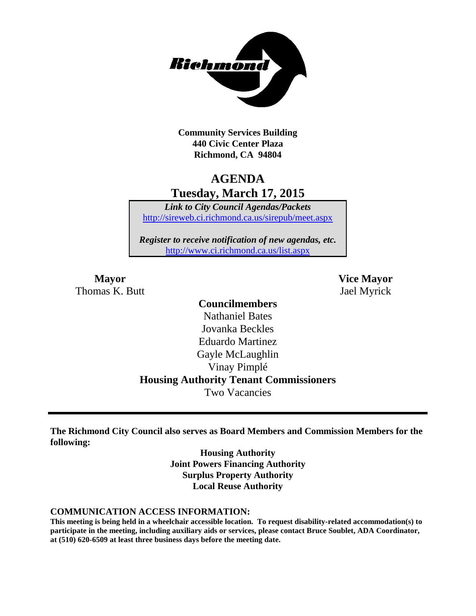

**Community Services Building 440 Civic Center Plaza Richmond, CA 94804**

# **AGENDA Tuesday, March 17, 2015**

*Link to City Council Agendas/Packets* <http://sireweb.ci.richmond.ca.us/sirepub/meet.aspx>

*Register to receive notification of new agendas, etc.* <http://www.ci.richmond.ca.us/list.aspx>

Thomas K. Butt Jael Myrick

**Mayor Vice Mayor**

# **Councilmembers**

Nathaniel Bates Jovanka Beckles Eduardo Martinez Gayle McLaughlin Vinay Pimplé **Housing Authority Tenant Commissioners** Two Vacancies

**The Richmond City Council also serves as Board Members and Commission Members for the following:**

> **Housing Authority Joint Powers Financing Authority Surplus Property Authority Local Reuse Authority**

#### **COMMUNICATION ACCESS INFORMATION:**

**This meeting is being held in a wheelchair accessible location. To request disability-related accommodation(s) to participate in the meeting, including auxiliary aids or services, please contact Bruce Soublet, ADA Coordinator, at (510) 620-6509 at least three business days before the meeting date.**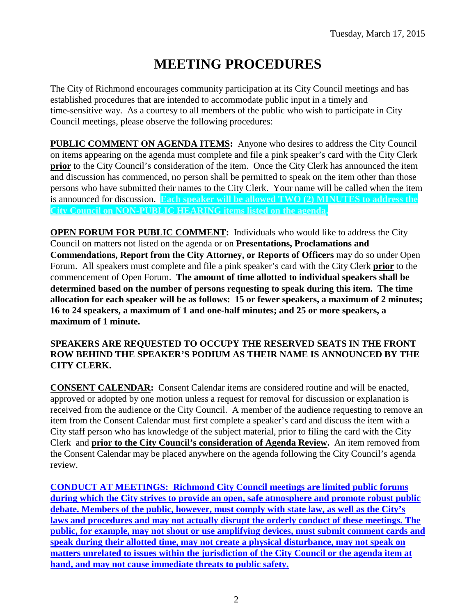# **MEETING PROCEDURES**

The City of Richmond encourages community participation at its City Council meetings and has established procedures that are intended to accommodate public input in a timely and time-sensitive way. As a courtesy to all members of the public who wish to participate in City Council meetings, please observe the following procedures:

**PUBLIC COMMENT ON AGENDA ITEMS:** Anyone who desires to address the City Council on items appearing on the agenda must complete and file a pink speaker's card with the City Clerk **prior** to the City Council's consideration of the item. Once the City Clerk has announced the item and discussion has commenced, no person shall be permitted to speak on the item other than those persons who have submitted their names to the City Clerk. Your name will be called when the item is announced for discussion. **Each speaker will be allowed TWO (2) MINUTES to address the City Council on NON-PUBLIC HEARING items listed on the agenda.**

**OPEN FORUM FOR PUBLIC COMMENT:** Individuals who would like to address the City Council on matters not listed on the agenda or on **Presentations, Proclamations and Commendations, Report from the City Attorney, or Reports of Officers** may do so under Open Forum. All speakers must complete and file a pink speaker's card with the City Clerk **prior** to the commencement of Open Forum. **The amount of time allotted to individual speakers shall be determined based on the number of persons requesting to speak during this item. The time allocation for each speaker will be as follows: 15 or fewer speakers, a maximum of 2 minutes; 16 to 24 speakers, a maximum of 1 and one-half minutes; and 25 or more speakers, a maximum of 1 minute.**

#### **SPEAKERS ARE REQUESTED TO OCCUPY THE RESERVED SEATS IN THE FRONT ROW BEHIND THE SPEAKER'S PODIUM AS THEIR NAME IS ANNOUNCED BY THE CITY CLERK.**

**CONSENT CALENDAR:** Consent Calendar items are considered routine and will be enacted, approved or adopted by one motion unless a request for removal for discussion or explanation is received from the audience or the City Council. A member of the audience requesting to remove an item from the Consent Calendar must first complete a speaker's card and discuss the item with a City staff person who has knowledge of the subject material, prior to filing the card with the City Clerk and **prior to the City Council's consideration of Agenda Review.** An item removed from the Consent Calendar may be placed anywhere on the agenda following the City Council's agenda review.

**CONDUCT AT MEETINGS: Richmond City Council meetings are limited public forums during which the City strives to provide an open, safe atmosphere and promote robust public debate. Members of the public, however, must comply with state law, as well as the City's laws and procedures and may not actually disrupt the orderly conduct of these meetings. The public, for example, may not shout or use amplifying devices, must submit comment cards and speak during their allotted time, may not create a physical disturbance, may not speak on matters unrelated to issues within the jurisdiction of the City Council or the agenda item at hand, and may not cause immediate threats to public safety.**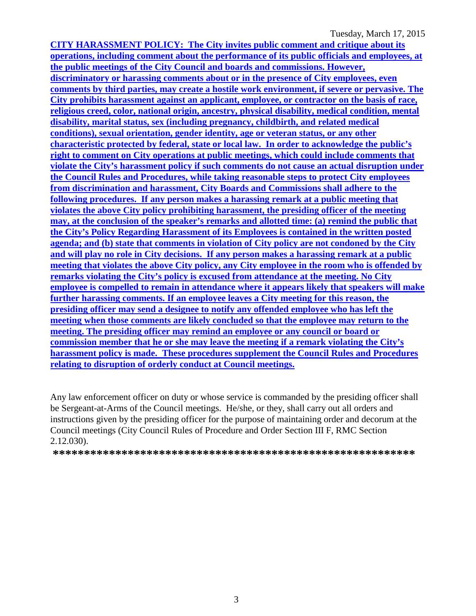Tuesday, March 17, 2015

**CITY HARASSMENT POLICY: The City invites public comment and critique about its operations, including comment about the performance of its public officials and employees, at the public meetings of the City Council and boards and commissions. However, discriminatory or harassing comments about or in the presence of City employees, even comments by third parties, may create a hostile work environment, if severe or pervasive. The City prohibits harassment against an applicant, employee, or contractor on the basis of race, religious creed, color, national origin, ancestry, physical disability, medical condition, mental disability, marital status, sex (including pregnancy, childbirth, and related medical conditions), sexual orientation, gender identity, age or veteran status, or any other characteristic protected by federal, state or local law. In order to acknowledge the public's right to comment on City operations at public meetings, which could include comments that violate the City's harassment policy if such comments do not cause an actual disruption under the Council Rules and Procedures, while taking reasonable steps to protect City employees from discrimination and harassment, City Boards and Commissions shall adhere to the following procedures. If any person makes a harassing remark at a public meeting that violates the above City policy prohibiting harassment, the presiding officer of the meeting may, at the conclusion of the speaker's remarks and allotted time: (a) remind the public that the City's Policy Regarding Harassment of its Employees is contained in the written posted agenda; and (b) state that comments in violation of City policy are not condoned by the City and will play no role in City decisions. If any person makes a harassing remark at a public meeting that violates the above City policy, any City employee in the room who is offended by remarks violating the City's policy is excused from attendance at the meeting. No City employee is compelled to remain in attendance where it appears likely that speakers will make further harassing comments. If an employee leaves a City meeting for this reason, the presiding officer may send a designee to notify any offended employee who has left the meeting when those comments are likely concluded so that the employee may return to the meeting. The presiding officer may remind an employee or any council or board or commission member that he or she may leave the meeting if a remark violating the City's harassment policy is made. These procedures supplement the Council Rules and Procedures relating to disruption of orderly conduct at Council meetings.**

Any law enforcement officer on duty or whose service is commanded by the presiding officer shall be Sergeant-at-Arms of the Council meetings. He/she, or they, shall carry out all orders and instructions given by the presiding officer for the purpose of maintaining order and decorum at the Council meetings (City Council Rules of Procedure and Order Section III F, RMC Section 2.12.030).

**\*\*\*\*\*\*\*\*\*\*\*\*\*\*\*\*\*\*\*\*\*\*\*\*\*\*\*\*\*\*\*\*\*\*\*\*\*\*\*\*\*\*\*\*\*\*\*\*\*\*\*\*\*\*\*\*\*\***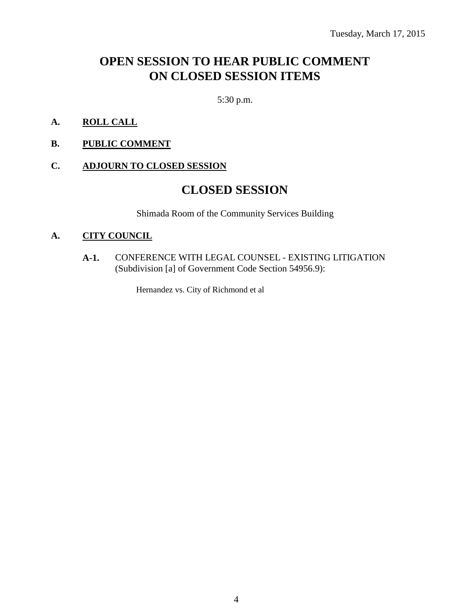# **OPEN SESSION TO HEAR PUBLIC COMMENT ON CLOSED SESSION ITEMS**

5:30 p.m.

- **A. ROLL CALL**
- **B. PUBLIC COMMENT**

#### **C. ADJOURN TO CLOSED SESSION**

# **CLOSED SESSION**

Shimada Room of the Community Services Building

#### **A. CITY COUNCIL**

**A-1.** CONFERENCE WITH LEGAL COUNSEL - EXISTING LITIGATION (Subdivision [a] of Government Code Section 54956.9):

Hernandez vs. City of Richmond et al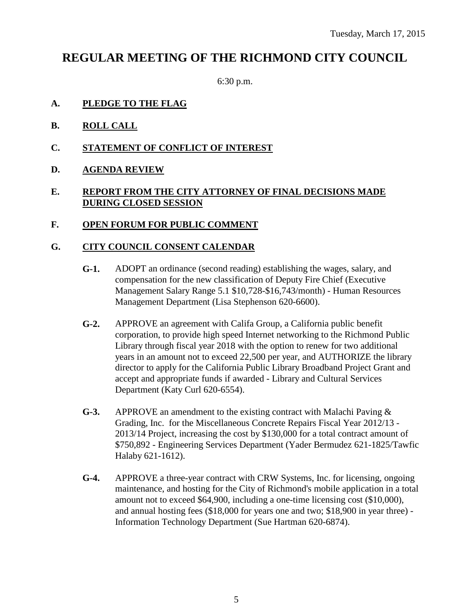# **REGULAR MEETING OF THE RICHMOND CITY COUNCIL**

6:30 p.m.

- **A. PLEDGE TO THE FLAG**
- **B. ROLL CALL**
- **C. STATEMENT OF CONFLICT OF INTEREST**
- **D. AGENDA REVIEW**

#### **E. REPORT FROM THE CITY ATTORNEY OF FINAL DECISIONS MADE DURING CLOSED SESSION**

#### **F. OPEN FORUM FOR PUBLIC COMMENT**

#### **G. CITY COUNCIL CONSENT CALENDAR**

- **G-1.** ADOPT an ordinance (second reading) establishing the wages, salary, and compensation for the new classification of Deputy Fire Chief (Executive Management Salary Range 5.1 \$10,728-\$16,743/month) - Human Resources Management Department (Lisa Stephenson 620-6600).
- **G-2.** APPROVE an agreement with Califa Group, a California public benefit corporation, to provide high speed Internet networking to the Richmond Public Library through fiscal year 2018 with the option to renew for two additional years in an amount not to exceed 22,500 per year, and AUTHORIZE the library director to apply for the California Public Library Broadband Project Grant and accept and appropriate funds if awarded - Library and Cultural Services Department (Katy Curl 620-6554).
- **G-3.** APPROVE an amendment to the existing contract with Malachi Paving & Grading, Inc. for the Miscellaneous Concrete Repairs Fiscal Year 2012/13 - 2013/14 Project, increasing the cost by \$130,000 for a total contract amount of \$750,892 - Engineering Services Department (Yader Bermudez 621-1825/Tawfic Halaby 621-1612).
- **G-4.** APPROVE a three-year contract with CRW Systems, Inc. for licensing, ongoing maintenance, and hosting for the City of Richmond's mobile application in a total amount not to exceed \$64,900, including a one-time licensing cost (\$10,000), and annual hosting fees (\$18,000 for years one and two; \$18,900 in year three) - Information Technology Department (Sue Hartman 620-6874).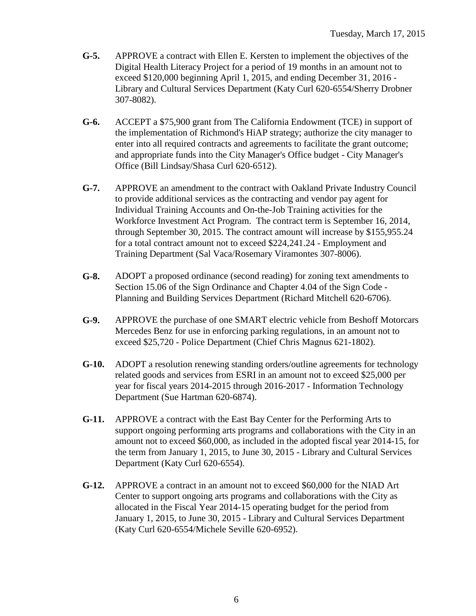- **G-5.** APPROVE a contract with Ellen E. Kersten to implement the objectives of the Digital Health Literacy Project for a period of 19 months in an amount not to exceed \$120,000 beginning April 1, 2015, and ending December 31, 2016 - Library and Cultural Services Department (Katy Curl 620-6554/Sherry Drobner 307-8082).
- **G-6.** ACCEPT a \$75,900 grant from The California Endowment (TCE) in support of the implementation of Richmond's HiAP strategy; authorize the city manager to enter into all required contracts and agreements to facilitate the grant outcome; and appropriate funds into the City Manager's Office budget - City Manager's Office (Bill Lindsay/Shasa Curl 620-6512).
- **G-7.** APPROVE an amendment to the contract with Oakland Private Industry Council to provide additional services as the contracting and vendor pay agent for Individual Training Accounts and On-the-Job Training activities for the Workforce Investment Act Program. The contract term is September 16, 2014, through September 30, 2015. The contract amount will increase by \$155,955.24 for a total contract amount not to exceed \$224,241.24 - Employment and Training Department (Sal Vaca/Rosemary Viramontes 307-8006).
- **G-8.** ADOPT a proposed ordinance (second reading) for zoning text amendments to Section 15.06 of the Sign Ordinance and Chapter 4.04 of the Sign Code - Planning and Building Services Department (Richard Mitchell 620-6706).
- **G-9.** APPROVE the purchase of one SMART electric vehicle from Beshoff Motorcars Mercedes Benz for use in enforcing parking regulations, in an amount not to exceed \$25,720 - Police Department (Chief Chris Magnus 621-1802).
- **G-10.** ADOPT a resolution renewing standing orders/outline agreements for technology related goods and services from ESRI in an amount not to exceed \$25,000 per year for fiscal years 2014-2015 through 2016-2017 - Information Technology Department (Sue Hartman 620-6874).
- **G-11.** APPROVE a contract with the East Bay Center for the Performing Arts to support ongoing performing arts programs and collaborations with the City in an amount not to exceed \$60,000, as included in the adopted fiscal year 2014-15, for the term from January 1, 2015, to June 30, 2015 - Library and Cultural Services Department (Katy Curl 620-6554).
- **G-12.** APPROVE a contract in an amount not to exceed \$60,000 for the NIAD Art Center to support ongoing arts programs and collaborations with the City as allocated in the Fiscal Year 2014-15 operating budget for the period from January 1, 2015, to June 30, 2015 - Library and Cultural Services Department (Katy Curl 620-6554/Michele Seville 620-6952).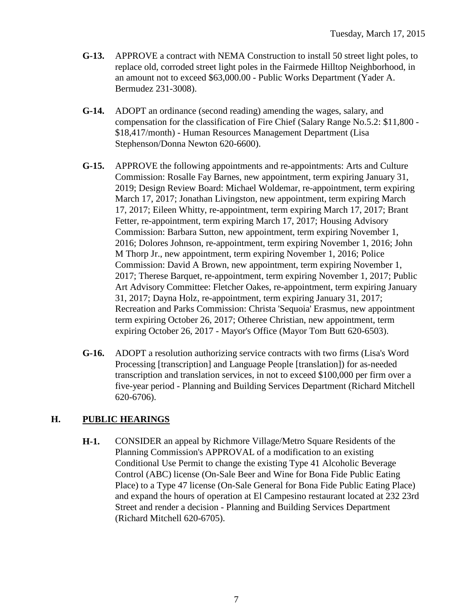- **G-13.** APPROVE a contract with NEMA Construction to install 50 street light poles, to replace old, corroded street light poles in the Fairmede Hilltop Neighborhood, in an amount not to exceed \$63,000.00 - Public Works Department (Yader A. Bermudez 231-3008).
- **G-14.** ADOPT an ordinance (second reading) amending the wages, salary, and compensation for the classification of Fire Chief (Salary Range No.5.2: \$11,800 - \$18,417/month) - Human Resources Management Department (Lisa Stephenson/Donna Newton 620-6600).
- **G-15.** APPROVE the following appointments and re-appointments: Arts and Culture Commission: Rosalle Fay Barnes, new appointment, term expiring January 31, 2019; Design Review Board: Michael Woldemar, re-appointment, term expiring March 17, 2017; Jonathan Livingston, new appointment, term expiring March 17, 2017; Eileen Whitty, re-appointment, term expiring March 17, 2017; Brant Fetter, re-appointment, term expiring March 17, 2017; Housing Advisory Commission: Barbara Sutton, new appointment, term expiring November 1, 2016; Dolores Johnson, re-appointment, term expiring November 1, 2016; John M Thorp Jr., new appointment, term expiring November 1, 2016; Police Commission: David A Brown, new appointment, term expiring November 1, 2017; Therese Barquet, re-appointment, term expiring November 1, 2017; Public Art Advisory Committee: Fletcher Oakes, re-appointment, term expiring January 31, 2017; Dayna Holz, re-appointment, term expiring January 31, 2017; Recreation and Parks Commission: Christa 'Sequoia' Erasmus, new appointment term expiring October 26, 2017; Otheree Christian, new appointment, term expiring October 26, 2017 - Mayor's Office (Mayor Tom Butt 620-6503).
- **G-16.** ADOPT a resolution authorizing service contracts with two firms (Lisa's Word Processing [transcription] and Language People [translation]) for as-needed transcription and translation services, in not to exceed \$100,000 per firm over a five-year period - Planning and Building Services Department (Richard Mitchell 620-6706).

# **H. PUBLIC HEARINGS**

**H-1.** CONSIDER an appeal by Richmore Village/Metro Square Residents of the Planning Commission's APPROVAL of a modification to an existing Conditional Use Permit to change the existing Type 41 Alcoholic Beverage Control (ABC) license (On-Sale Beer and Wine for Bona Fide Public Eating Place) to a Type 47 license (On-Sale General for Bona Fide Public Eating Place) and expand the hours of operation at El Campesino restaurant located at 232 23rd Street and render a decision - Planning and Building Services Department (Richard Mitchell 620-6705).